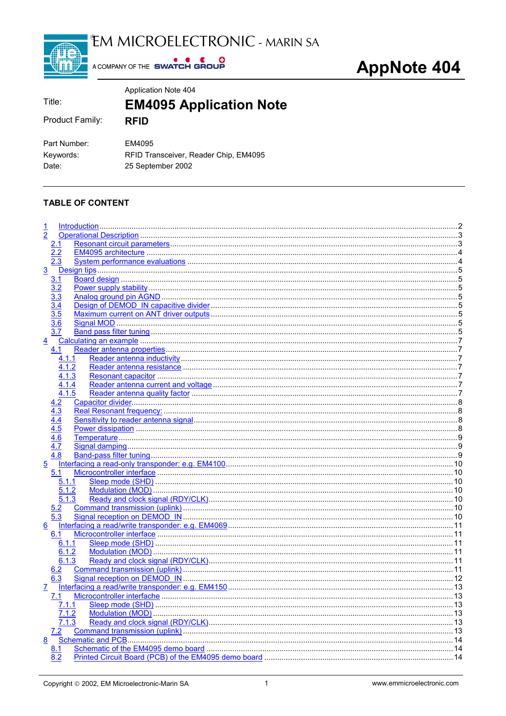

EM MICROELECTRONIC - MARIN SA

A COMPANY OF THE SWATCH GROUP

|                                    | Application Note 404                                                 |
|------------------------------------|----------------------------------------------------------------------|
| Title:                             | <b>EM4095 Application Note</b>                                       |
| Product Family:                    | <b>RFID</b>                                                          |
| Part Number:<br>Keywords:<br>Date: | EM4095<br>RFID Transceiver, Reader Chip, EM4095<br>25 September 2002 |

## **TABLE OF CONTENT**

| $\frac{1}{2}$  |       |                          |  |
|----------------|-------|--------------------------|--|
|                |       |                          |  |
|                | 2.1   |                          |  |
|                | 2.2   |                          |  |
|                | 2.3   |                          |  |
| 3              |       |                          |  |
|                | 3.1   |                          |  |
|                | 3.2   |                          |  |
|                | 3.3   |                          |  |
|                | 3.4   |                          |  |
|                |       |                          |  |
|                | 3.5   |                          |  |
|                | 3.6   |                          |  |
|                | 3.7   |                          |  |
| $\overline{4}$ |       |                          |  |
|                | 4.1   |                          |  |
|                | 4.1.1 |                          |  |
|                | 4.1.2 |                          |  |
|                | 4.1.3 |                          |  |
|                | 4.1.4 |                          |  |
|                | 4.1.5 |                          |  |
|                |       |                          |  |
|                | 4.2   |                          |  |
|                | 4.3   |                          |  |
|                |       |                          |  |
|                | 4.5   |                          |  |
|                | 4.6   |                          |  |
|                | 4.7   |                          |  |
|                | 4.8   |                          |  |
| $\overline{5}$ |       |                          |  |
|                | 5.1   |                          |  |
|                | 5.1.1 |                          |  |
|                |       |                          |  |
|                | 5.1.2 |                          |  |
|                | 5.1.3 |                          |  |
|                | 5.2   |                          |  |
|                | 5.3   |                          |  |
| 6              |       |                          |  |
|                | 6.1   |                          |  |
|                | 6.1.1 |                          |  |
|                | 6.1.2 |                          |  |
|                | 6.1.3 |                          |  |
|                | 6.2   |                          |  |
|                | 6.3   |                          |  |
|                |       |                          |  |
| 7              |       |                          |  |
|                | 7.1   |                          |  |
|                | 7.1.1 |                          |  |
|                | 7.1.2 |                          |  |
|                | 7.1.3 |                          |  |
|                | 7.2   |                          |  |
| 8              |       | <b>Schematic and PCB</b> |  |
|                | 8.1   |                          |  |
|                | 8.2   |                          |  |
|                |       |                          |  |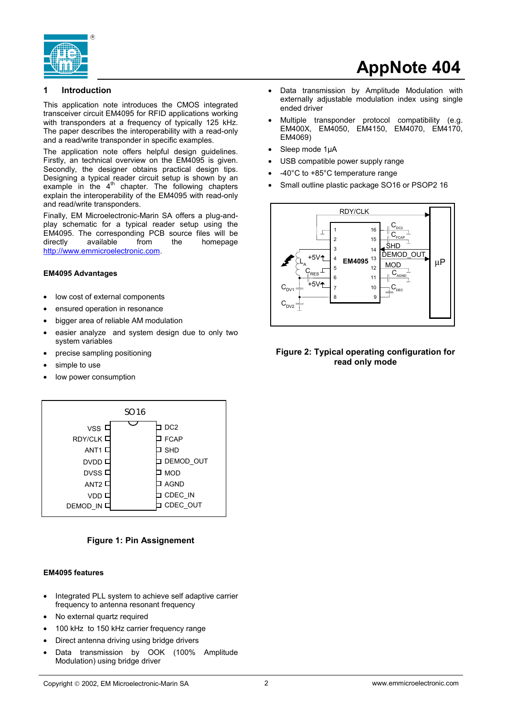<span id="page-1-0"></span>

## **1 Introduction**

This application note introduces the CMOS integrated transceiver circuit EM4095 for RFID applications working with transponders at a frequency of typically 125 kHz. The paper describes the interoperability with a read-only and a read/write transponder in specific examples.

The application note offers helpful design guidelines. Firstly, an technical overview on the EM4095 is given. Secondly, the designer obtains practical design tips. Designing a typical reader circuit setup is shown by an example in the  $4<sup>th</sup>$  chapter. The following chapters explain the interoperability of the EM4095 with read-only and read/write transponders.

Finally, EM Microelectronic-Marin SA offers a plug-andplay schematic for a typical reader setup using the EM4095. The corresponding PCB source files will be directly available from the homepage http://www.emmicroelectronic.com.

### **EM4095 Advantages**

- low cost of external components
- ensured operation in resonance
- bigger area of reliable AM modulation
- easier analyze and system design due to only two system variables
- precise sampling positioning
- simple to use
- low power consumption



## **Figure 1: Pin Assignement**

### **EM4095 features**

- Integrated PLL system to achieve self adaptive carrier frequency to antenna resonant frequency
- No external quartz required
- 100 kHz to 150 kHz carrier frequency range
- Direct antenna driving using bridge drivers
- Data transmission by OOK (100% Amplitude Modulation) using bridge driver
- Data transmission by Amplitude Modulation with externally adjustable modulation index using single ended driver
- Multiple transponder protocol compatibility (e.g. EM400X, EM4050, EM4150, EM4070, EM4170, EM4069)
- Sleep mode 1µA
- USB compatible power supply range
- -40°C to +85°C temperature range
- Small outline plastic package SO16 or PSOP2 16



## **Figure 2: Typical operating configuration for read only mode**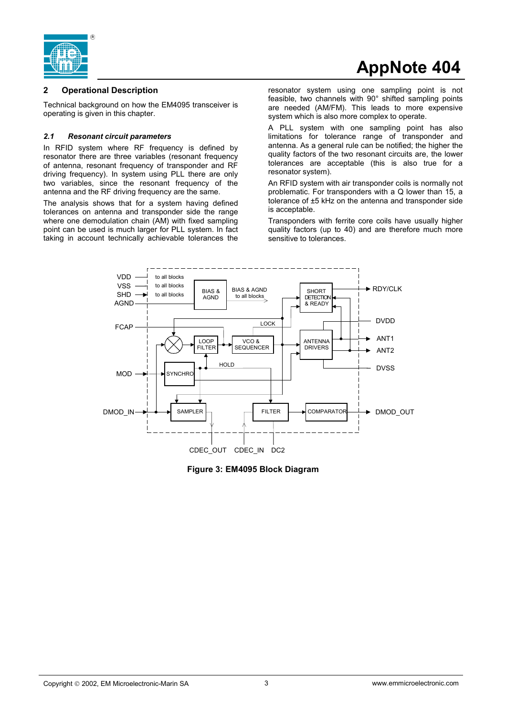<span id="page-2-0"></span>

## **2 Operational Description**

Technical background on how the EM4095 transceiver is operating is given in this chapter.

## *2.1 Resonant circuit parameters*

In RFID system where RF frequency is defined by resonator there are three variables (resonant frequency of antenna, resonant frequency of transponder and RF driving frequency). In system using PLL there are only two variables, since the resonant frequency of the antenna and the RF driving frequency are the same.

The analysis shows that for a system having defined tolerances on antenna and transponder side the range where one demodulation chain (AM) with fixed sampling point can be used is much larger for PLL system. In fact taking in account technically achievable tolerances the resonator system using one sampling point is not feasible, two channels with 90° shifted sampling points are needed (AM/FM). This leads to more expensive system which is also more complex to operate.

A PLL system with one sampling point has also limitations for tolerance range of transponder and antenna. As a general rule can be notified; the higher the quality factors of the two resonant circuits are, the lower tolerances are acceptable (this is also true for a resonator system).

An RFID system with air transponder coils is normally not problematic. For transponders with a Q lower than 15, a tolerance of ±5 kHz on the antenna and transponder side is acceptable.

Transponders with ferrite core coils have usually higher quality factors (up to 40) and are therefore much more sensitive to tolerances.



**Figure 3: EM4095 Block Diagram**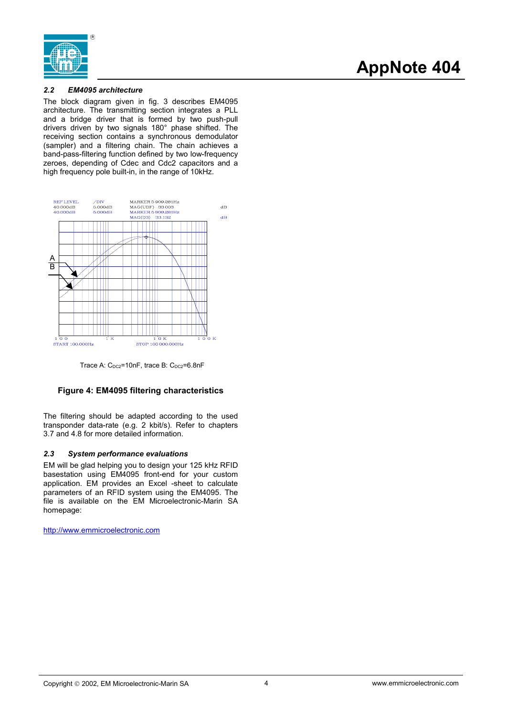<span id="page-3-0"></span>

## *2.2 EM4095 architecture*

The block diagram given in fig. 3 describes EM4095 architecture. The transmitting section integrates a PLL and a bridge driver that is formed by two push-pull drivers driven by two signals 180° phase shifted. The receiving section contains a synchronous demodulator (sampler) and a filtering chain. The chain achieves a band-pass-filtering function defined by two low-frequency zeroes, depending of Cdec and Cdc2 capacitors and a high frequency pole built-in, in the range of 10kHz.



Trace A:  $C_{DC2}$ =10nF, trace B:  $C_{DC2}$ =6.8nF

## **Figure 4: EM4095 filtering characteristics**

The filtering should be adapted according to the used transponder data-rate (e.g. 2 kbit/s). Refer to chapters 3.7 and 4.8 for more detailed information.

## *2.3 System performance evaluations*

EM will be glad helping you to design your 125 kHz RFID basestation using EM4095 front-end for your custom application. EM provides an Excel -sheet to calculate parameters of an RFID system using the EM4095. The file is available on the EM Microelectronic-Marin SA homepage:

http://www.emmicroelectronic.com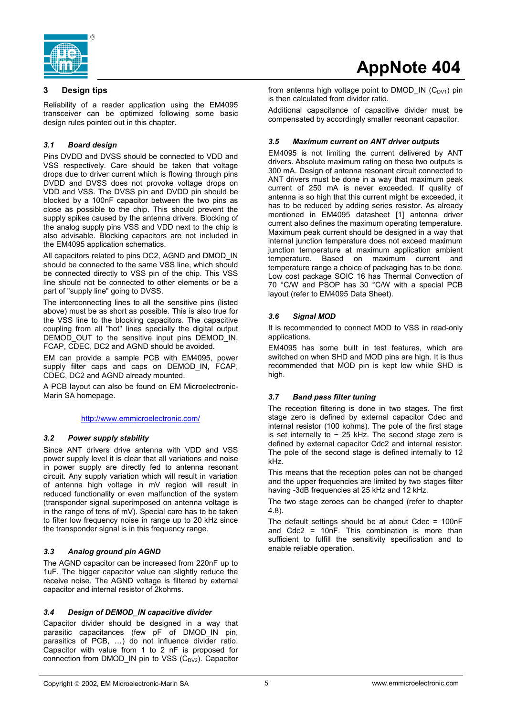<span id="page-4-0"></span>

## **3 Design tips**

Reliability of a reader application using the EM4095 transceiver can be optimized following some basic design rules pointed out in this chapter.

## *3.1 Board design*

Pins DVDD and DVSS should be connected to VDD and VSS respectively. Care should be taken that voltage drops due to driver current which is flowing through pins DVDD and DVSS does not provoke voltage drops on VDD and VSS. The DVSS pin and DVDD pin should be blocked by a 100nF capacitor between the two pins as close as possible to the chip. This should prevent the supply spikes caused by the antenna drivers. Blocking of the analog supply pins VSS and VDD next to the chip is also advisable. Blocking capacitors are not included in the EM4095 application schematics.

All capacitors related to pins DC2, AGND and DMOD\_IN should be connected to the same VSS line, which should be connected directly to VSS pin of the chip. This VSS line should not be connected to other elements or be a part of "supply line" going to DVSS.

The interconnecting lines to all the sensitive pins (listed above) must be as short as possible. This is also true for the VSS line to the blocking capacitors. The capacitive coupling from all "hot" lines specially the digital output DEMOD OUT to the sensitive input pins DEMOD IN, FCAP, CDEC, DC2 and AGND should be avoided.

EM can provide a sample PCB with EM4095, power supply filter caps and caps on DEMOD\_IN, FCAP, CDEC, DC2 and AGND already mounted.

A PCB layout can also be found on EM Microelectronic-Marin SA homepage.

## http://www.emmicroelectronic.com/

## *3.2 Power supply stability*

Since ANT drivers drive antenna with VDD and VSS power supply level it is clear that all variations and noise in power supply are directly fed to antenna resonant circuit. Any supply variation which will result in variation of antenna high voltage in mV region will result in reduced functionality or even malfunction of the system (transponder signal superimposed on antenna voltage is in the range of tens of mV). Special care has to be taken to filter low frequency noise in range up to 20 kHz since the transponder signal is in this frequency range.

## *3.3 Analog ground pin AGND*

The AGND capacitor can be increased from 220nF up to 1uF. The bigger capacitor value can slightly reduce the receive noise. The AGND voltage is filtered by external capacitor and internal resistor of 2kohms.

## *3.4 Design of DEMOD\_IN capacitive divider*

Capacitor divider should be designed in a way that parasitic capacitances (few pF of DMOD\_IN pin, parasitics of PCB, …) do not influence divider ratio. Capacitor with value from 1 to 2 nF is proposed for connection from DMOD\_IN pin to VSS ( $C_{DV2}$ ). Capacitor

# **AppNote 404**

from antenna high voltage point to DMOD IN  $(C_{DY1})$  pin is then calculated from divider ratio.

Additional capacitance of capacitive divider must be compensated by accordingly smaller resonant capacitor.

## *3.5 Maximum current on ANT driver outputs*

EM4095 is not limiting the current delivered by ANT drivers. Absolute maximum rating on these two outputs is 300 mA. Design of antenna resonant circuit connected to ANT drivers must be done in a way that maximum peak current of 250 mA is never exceeded. If quality of antenna is so high that this current might be exceeded, it has to be reduced by adding series resistor. As already mentioned in EM4095 datasheet [1] antenna driver current also defines the maximum operating temperature. Maximum peak current should be designed in a way that internal junction temperature does not exceed maximum junction temperature at maximum application ambient temperature. Based on maximum current and temperature range a choice of packaging has to be done. Low cost package SOIC 16 has Thermal Convection of 70 °C/W and PSOP has 30 °C/W with a special PCB layout (refer to EM4095 Data Sheet).

## *3.6 Signal MOD*

It is recommended to connect MOD to VSS in read-only applications.

EM4095 has some built in test features, which are switched on when SHD and MOD pins are high. It is thus recommended that MOD pin is kept low while SHD is high.

## *3.7 Band pass filter tuning*

The reception filtering is done in two stages. The first stage zero is defined by external capacitor Cdec and internal resistor (100 kohms). The pole of the first stage is set internally to  $\sim$  25 kHz. The second stage zero is defined by external capacitor Cdc2 and internal resistor. The pole of the second stage is defined internally to 12 kHz.

This means that the reception poles can not be changed and the upper frequencies are limited by two stages filter having -3dB frequencies at 25 kHz and 12 kHz.

The two stage zeroes can be changed (refer to chapter 4.8).

The default settings should be at about  $\text{Cdec} = 100 \text{nF}$ and Cdc2 = 10nF. This combination is more than sufficient to fulfill the sensitivity specification and to enable reliable operation.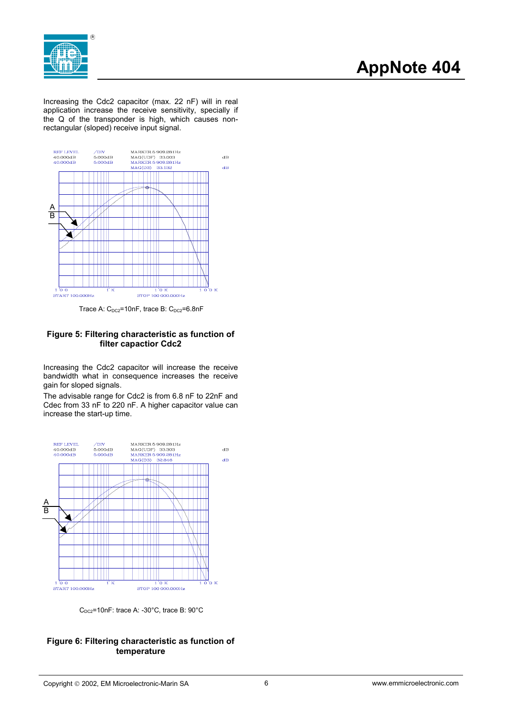

Increasing the Cdc2 capacitor (max. 22 nF) will in real application increase the receive sensitivity, specially if the Q of the transponder is high, which causes nonrectangular (sloped) receive input signal.



Trace A:  $C_{DC2}$ =10nF, trace B:  $C_{DC2}$ =6.8nF

## **Figure 5: Filtering characteristic as function of filter capactior Cdc2**

Increasing the Cdc2 capacitor will increase the receive bandwidth what in consequence increases the receive gain for sloped signals.

The advisable range for Cdc2 is from 6.8 nF to 22nF and Cdec from 33 nF to 220 nF. A higher capacitor value can increase the start-up time.



 $C_{DC2}$ =10nF: trace A: -30°C, trace B: 90°C

## **Figure 6: Filtering characteristic as function of temperature**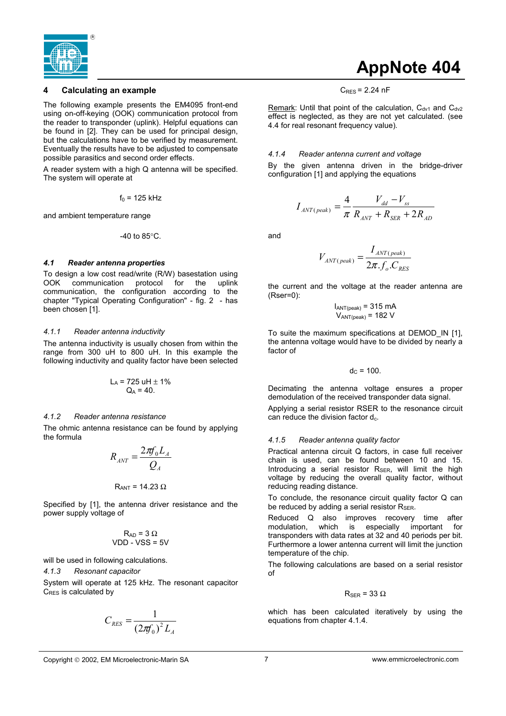<span id="page-6-0"></span>

## **4 Calculating an example**

The following example presents the EM4095 front-end using on-off-keying (OOK) communication protocol from the reader to transponder (uplink). Helpful equations can be found in [2]. They can be used for principal design, but the calculations have to be verified by measurement. Eventually the results have to be adjusted to compensate possible parasitics and second order effects.

A reader system with a high Q antenna will be specified. The system will operate at

 $f_0$  = 125 kHz

and ambient temperature range

$$
-40
$$
 to  $85^{\circ}$ C.

### *4.1 Reader antenna properties*

To design a low cost read/write (R/W) basestation using OOK communication protocol for the uplink communication, the configuration according to the chapter "Typical Operating Configuration" - fig. 2 - has been chosen [1].

### *4.1.1 Reader antenna inductivity*

The antenna inductivity is usually chosen from within the range from 300 uH to 800 uH. In this example the following inductivity and quality factor have been selected

$$
L_A = 725 \text{ uH} \pm 1\%
$$
  
Q<sub>A</sub> = 40.

### *4.1.2 Reader antenna resistance*

The ohmic antenna resistance can be found by applying the formula

$$
R_{\scriptscriptstyle{ANT}} = \frac{2\pi f_0 L_{\scriptscriptstyle{A}}}{Q_{\scriptscriptstyle{A}}}
$$

$$
R_{ANT} = 14.23 \ \Omega
$$

Specified by [1], the antenna driver resistance and the power supply voltage of

$$
R_{AD} = 3 \Omega
$$
  
VDD - VSS = 5V

will be used in following calculations.

#### *4.1.3 Resonant capacitor*

System will operate at 125 kHz. The resonant capacitor C<sub>RES</sub> is calculated by

$$
C_{RES} = \frac{1}{\left(2\pi f_0\right)^2 L_A}
$$

## **AppNote 404**

 $C<sub>RES</sub> = 2.24 nF$ 

Remark: Until that point of the calculation,  $C_{dV1}$  and  $C_{dV2}$ effect is neglected, as they are not yet calculated. (see 4.4 for real resonant frequency value).

### *4.1.4 Reader antenna current and voltage*

By the given antenna driven in the bridge-driver configuration [1] and applying the equations

$$
I_{\text{ANT}(peak)} = \frac{4}{\pi} \frac{V_{\text{dd}} - V_{\text{ss}}}{R_{\text{ANT}} + R_{\text{SER}} + 2R_{\text{AD}}}
$$

and

$$
V_{ANT(peak)} = \frac{I_{ANT(peak)}}{2\pi f_o.C_{RES}}
$$

the current and the voltage at the reader antenna are (Rser=0):

$$
I_{ANT(peak)} = 315 \text{ mA}
$$
  

$$
V_{ANT(peak)} = 182 \text{ V}
$$

To suite the maximum specifications at DEMOD\_IN [1], the antenna voltage would have to be divided by nearly a factor of

$$
d_C = 100.
$$

Decimating the antenna voltage ensures a proper demodulation of the received transponder data signal.

Applying a serial resistor RSER to the resonance circuit can reduce the division factor  $d_c$ .

### *4.1.5 Reader antenna quality factor*

Practical antenna circuit Q factors, in case full receiver chain is used, can be found between 10 and 15. Introducing a serial resistor  $R_{SER}$ , will limit the high voltage by reducing the overall quality factor, without reducing reading distance.

To conclude, the resonance circuit quality factor Q can be reduced by adding a serial resistor  $R_{\text{SER.}}$ 

Reduced Q also improves recovery time after modulation, which is especially important for transponders with data rates at 32 and 40 periods per bit. Furthermore a lower antenna current will limit the junction temperature of the chip.

The following calculations are based on a serial resistor of

### $R_{\rm SER}$  = 33  $\Omega$

which has been calculated iteratively by using the equations from chapter 4.1.4.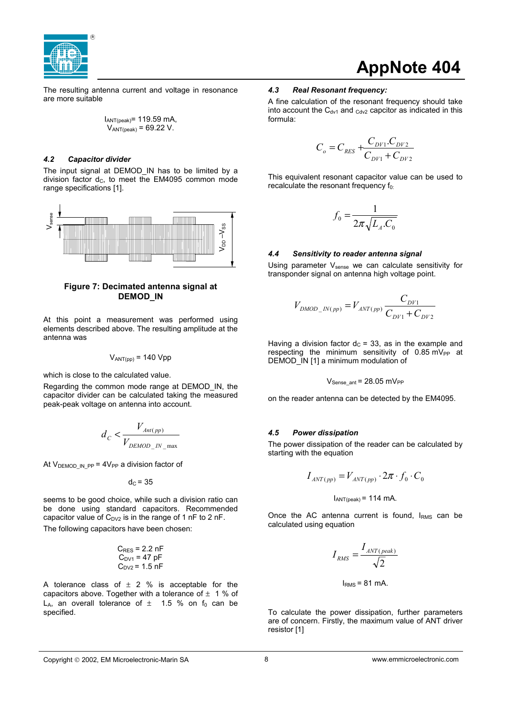<span id="page-7-0"></span>

The resulting antenna current and voltage in resonance are more suitable

$$
I_{ANT(peak)} = 119.59 \text{ mA},
$$
  
 $V_{ANT(peak)} = 69.22 \text{ V}.$ 

### *4.2 Capacitor divider*

The input signal at DEMOD\_IN has to be limited by a division factor  $d_C$ , to meet the EM4095 common mode range specifications [1].



## **Figure 7: Decimated antenna signal at DEMOD\_IN**

At this point a measurement was performed using elements described above. The resulting amplitude at the antenna was

$$
V_{ANT(pp)} = 140 \text{ Vpp}
$$

which is close to the calculated value.

Regarding the common mode range at DEMOD\_IN, the capacitor divider can be calculated taking the measured peak-peak voltage on antenna into account.

$$
d_C < \frac{V_{\text{Ant}(pp)}}{V_{\text{DEMOD} \quad \text{IN} \quad \text{max}}}
$$

At  $V_{\text{DEMOD IN PP}} = 4V_{\text{PP}}$  a division factor of

 $d<sub>C</sub> = 35$ 

seems to be good choice, while such a division ratio can be done using standard capacitors. Recommended capacitor value of  $C_{D<sub>1</sub>}$  is in the range of 1 nF to 2 nF. The following capacitors have been chosen:

$$
C_{RES} = 2.2 \text{ nF}
$$
  
 $C_{DY1} = 47 \text{ pF}$   
 $C_{DY2} = 1.5 \text{ nF}$ 

A tolerance class of  $\pm$  2 % is acceptable for the capacitors above. Together with a tolerance of  $\pm$  1 % of L<sub>A</sub>, an overall tolerance of  $\pm$  1.5 % on f<sub>0</sub> can be specified.

## **AppNote 404**

### *4.3 Real Resonant frequency:*

A fine calculation of the resonant frequency should take into account the  $C_{\text{dv1}}$  and  $_{\text{Cdv2}}$  capcitor as indicated in this formula:

$$
C_o = C_{RES} + \frac{C_{DY1} \cdot C_{DY2}}{C_{DY1} + C_{DY2}}
$$

This equivalent resonant capacitor value can be used to recalculate the resonant frequency  $f_{0}$ :

$$
f_0 = \frac{1}{2\pi\sqrt{L_A.C_0}}
$$

### *4.4 Sensitivity to reader antenna signal*

Using parameter V<sub>sense</sub> we can calculate sensitivity for transponder signal on antenna high voltage point.

$$
V_{DMOD_{-}IN(pp)} = V_{ANT(pp)} \frac{C_{DY1}}{C_{DY1} + C_{DY2}}
$$

Having a division factor  $d<sub>C</sub>$  = 33, as in the example and respecting the minimum sensitivity of  $0.85$  mV<sub>PP</sub> at DEMOD IN [1] a minimum modulation of

$$
V_{\text{Sense\_ant}} = 28.05 \text{ mV}_{\text{PP}}
$$

on the reader antenna can be detected by the EM4095.

### *4.5 Power dissipation*

The power dissipation of the reader can be calculated by starting with the equation

$$
I_{\text{ANT}(pp)} = V_{\text{ANT}(pp)} \cdot 2\pi \cdot f_0 \cdot C_0
$$

 $I_{ANT(peak)} = 114$  mA.

Once the AC antenna current is found,  $I<sub>RMS</sub>$  can be calculated using equation

$$
I_{RMS} = \frac{I_{ANT(peak)}}{\sqrt{2}}
$$

$$
I_{RMS} = 81 \text{ mA}.
$$

To calculate the power dissipation, further parameters are of concern. Firstly, the maximum value of ANT driver resistor [1]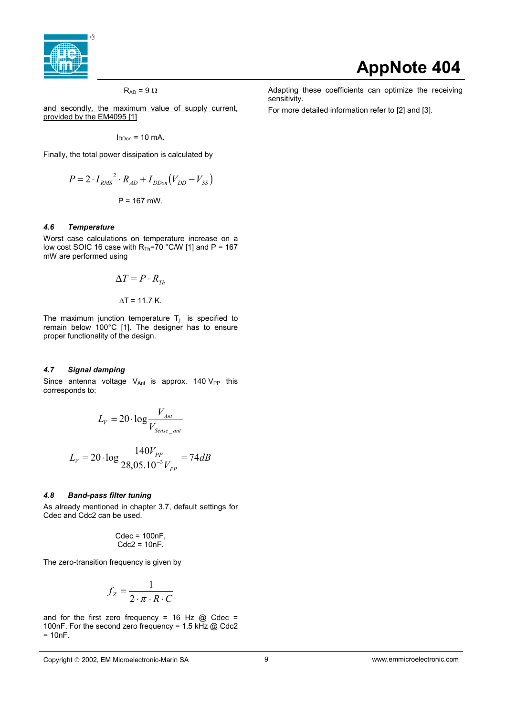<span id="page-8-0"></span>

### $R_{AD}$  = 9  $\Omega$

and secondly, the maximum value of supply current, provided by the EM4095 [1]

 $I_{DDon} = 10$  mA.

Finally, the total power dissipation is calculated by

$$
P = 2 \cdot I_{RMS}^{2} \cdot R_{AD} + I_{DDon}(V_{DD} - V_{SS})
$$
  
P = 167 mW.

#### *4.6 Temperature*

Worst case calculations on temperature increase on a low cost SOIC 16 case with  $R_{Th}$ =70 °C/W [1] and P = 167 mW are performed using

$$
\Delta T = P \cdot R_{Th}
$$

$$
\Delta T = 11.7 \text{ K.}
$$

The maximum junction temperature  $T_j$  is specified to remain below 100°C [1]. The designer has to ensure proper functionality of the design.

## *4.7 Signal damping*

Since antenna voltage  $V_{Ant}$  is approx. 140  $V_{PP}$  this corresponds to:

$$
L_V = 20 \cdot \log \frac{V_{\text{Ant}}}{V_{\text{Sense\_ant}}}
$$

$$
L_V = 20 \cdot \log \frac{140 V_{PP}}{28,05.10^{-3} V_{PP}} = 74 dB
$$

### *4.8 Band-pass filter tuning*

As already mentioned in chapter 3.7, default settings for Cdec and Cdc2 can be used.

$$
Cdec = 100nF, \quad Cdc2 = 10nF.
$$

The zero-transition frequency is given by

$$
f_Z = \frac{1}{2 \cdot \pi \cdot R \cdot C}
$$

and for the first zero frequency = 16 Hz  $@$  Cdec = 100nF. For the second zero frequency = 1.5 kHz @ Cdc2  $= 10nF$ .

For more detailed information refer to [2] and [3].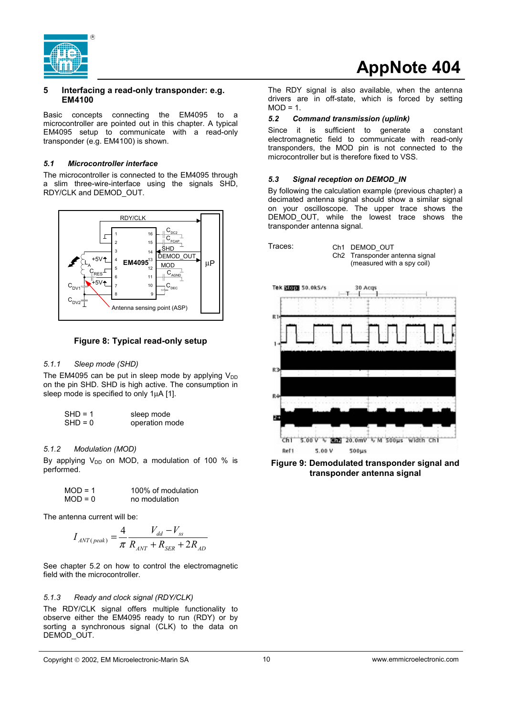<span id="page-9-0"></span>

## **5 Interfacing a read-only transponder: e.g. EM4100**

Basic concepts connecting the EM4095 to a microcontroller are pointed out in this chapter. A typical EM4095 setup to communicate with a read-only transponder (e.g. EM4100) is shown.

## *5.1 Microcontroller interface*

The microcontroller is connected to the EM4095 through a slim three-wire-interface using the signals SHD, RDY/CLK and DEMOD\_OUT.



## **Figure 8: Typical read-only setup**

## *5.1.1 Sleep mode (SHD)*

The EM4095 can be put in sleep mode by applying  $V_{DD}$ on the pin SHD. SHD is high active. The consumption in sleep mode is specified to only 1µA [1].

| $SHD = 1$ | sleep mode     |
|-----------|----------------|
| $SHD = 0$ | operation mode |

## *5.1.2 Modulation (MOD)*

By applying  $V_{DD}$  on MOD, a modulation of 100 % is performed.

$$
MOD = 1
$$
\n
$$
100\% \text{ of modulation}
$$
\n
$$
MOD = 0
$$
\n
$$
100\% \text{ of modulation}
$$

The antenna current will be:

$$
I_{ANT(peak)} = \frac{4}{\pi} \frac{V_{dd} - V_{ss}}{R_{ANT} + R_{SER} + 2R_{AD}}
$$

See chapter 5.2 on how to control the electromagnetic field with the microcontroller.

## *5.1.3 Ready and clock signal (RDY/CLK)*

The RDY/CLK signal offers multiple functionality to observe either the EM4095 ready to run (RDY) or by sorting a synchronous signal (CLK) to the data on DEMOD\_OUT.

The RDY signal is also available, when the antenna drivers are in off-state, which is forced by setting  $MOD = 1$ .

## *5.2 Command transmission (uplink)*

Since it is sufficient to generate a constant electromagnetic field to communicate with read-only transponders, the MOD pin is not connected to the microcontroller but is therefore fixed to VSS.

## *5.3 Signal reception on DEMOD\_IN*

By following the calculation example (previous chapter) a decimated antenna signal should show a similar signal on your oscilloscope. The upper trace shows the DEMOD OUT, while the lowest trace shows the transponder antenna signal.



Ch1 DEMOD\_OUT Ch2 Transponder antenna signal (measured with a spy coil)



**Figure 9: Demodulated transponder signal and transponder antenna signal**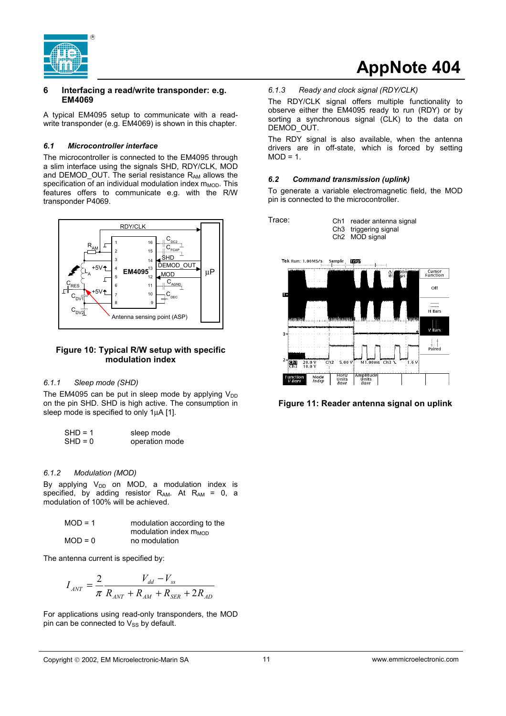<span id="page-10-0"></span>

## **6 Interfacing a read/write transponder: e.g. EM4069**

A typical EM4095 setup to communicate with a readwrite transponder (e.g. EM4069) is shown in this chapter.

## *6.1 Microcontroller interface*

The microcontroller is connected to the EM4095 through a slim interface using the signals SHD, RDY/CLK, MOD and DEMOD\_OUT. The serial resistance RAM allows the specification of an individual modulation index  $m_{MOD}$ . This features offers to communicate e.g. with the R/W transponder P4069.



## **Figure 10: Typical R/W setup with specific modulation index**

### *6.1.1 Sleep mode (SHD)*

The EM4095 can be put in sleep mode by applying  $V_{DD}$ on the pin SHD. SHD is high active. The consumption in sleep mode is specified to only 1µA [1].

| $SHD = 1$ | sleep mode     |
|-----------|----------------|
| $SHD = 0$ | operation mode |

### *6.1.2 Modulation (MOD)*

By applying  $V_{DD}$  on MOD, a modulation index is specified, by adding resistor  $R_{AM}$ . At  $R_{AM}$  = 0, a modulation of 100% will be achieved.

| $MOD = 1$ | modulation according to the |
|-----------|-----------------------------|
|           | modulation index $m_{MOD}$  |
| $MOD = 0$ | no modulation               |

The antenna current is specified by:

$$
I_{ANT} = \frac{2}{\pi} \frac{V_{dd} - V_{ss}}{R_{ANT} + R_{AM} + R_{SER} + 2R_{AD}}
$$

For applications using read-only transponders, the MOD pin can be connected to  $V_{SS}$  by default.

## *6.1.3 Ready and clock signal (RDY/CLK)*

The RDY/CLK signal offers multiple functionality to observe either the EM4095 ready to run (RDY) or by sorting a synchronous signal (CLK) to the data on DEMOD\_OUT.

**AppNote 404**

The RDY signal is also available, when the antenna drivers are in off-state, which is forced by setting  $MOD = 1$ .

## *6.2 Command transmission (uplink)*

To generate a variable electromagnetic field, the MOD pin is connected to the microcontroller.

Trace:

Ch3 triggering signal

Ch1 reader antenna signal





**Figure 11: Reader antenna signal on uplink**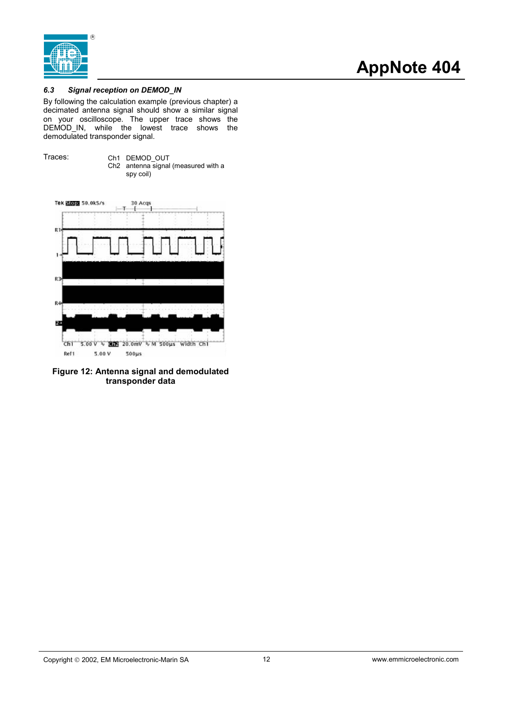<span id="page-11-0"></span>

## *6.3 Signal reception on DEMOD\_IN*

By following the calculation example (previous chapter) a decimated antenna signal should show a similar signal on your oscilloscope. The upper trace shows the DEMOD\_IN, while the lowest trace shows the demodulated transponder signal.





**Figure 12: Antenna signal and demodulated transponder data**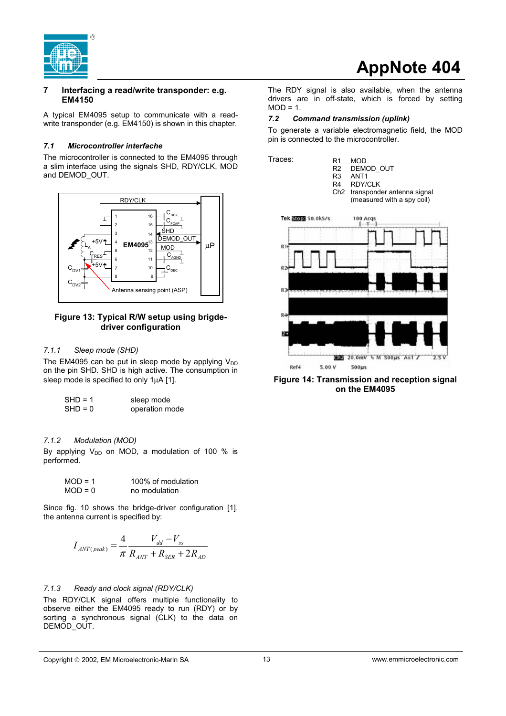<span id="page-12-0"></span>

## **7 Interfacing a read/write transponder: e.g. EM4150**

A typical EM4095 setup to communicate with a readwrite transponder (e.g. EM4150) is shown in this chapter.

### *7.1 Microcontroller interfache*

The microcontroller is connected to the EM4095 through a slim interface using the signals SHD, RDY/CLK, MOD and DEMOD\_OUT.



## **Figure 13: Typical R/W setup using brigdedriver configuration**

### *7.1.1 Sleep mode (SHD)*

The EM4095 can be put in sleep mode by applying  $V_{DD}$ on the pin SHD. SHD is high active. The consumption in sleep mode is specified to only 1µA [1].

| $SHD = 1$ | sleep mode     |
|-----------|----------------|
| $SHD = 0$ | operation mode |

### *7.1.2 Modulation (MOD)*

By applying  $V_{DD}$  on MOD, a modulation of 100 % is performed.

$$
MOD = 1
$$
\n
$$
100\% \text{ of modulation}
$$
\n
$$
MOD = 0
$$
\n
$$
no \text{ modulation}
$$

Since fig. 10 shows the bridge-driver configuration [1], the antenna current is specified by:

$$
I_{ANT(peak)} = \frac{4}{\pi} \frac{V_{dd} - V_{ss}}{R_{ANT} + R_{SER} + 2R_{AD}}
$$

### *7.1.3 Ready and clock signal (RDY/CLK)*

The RDY/CLK signal offers multiple functionality to observe either the EM4095 ready to run (RDY) or by sorting a synchronous signal (CLK) to the data on DEMOD\_OUT.

# **AppNote 404**

The RDY signal is also available, when the antenna drivers are in off-state, which is forced by setting  $MOD = 1.$ 

### *7.2 Command transmission (uplink)*

To generate a variable electromagnetic field, the MOD pin is connected to the microcontroller.



**Figure 14: Transmission and reception signal on the EM4095**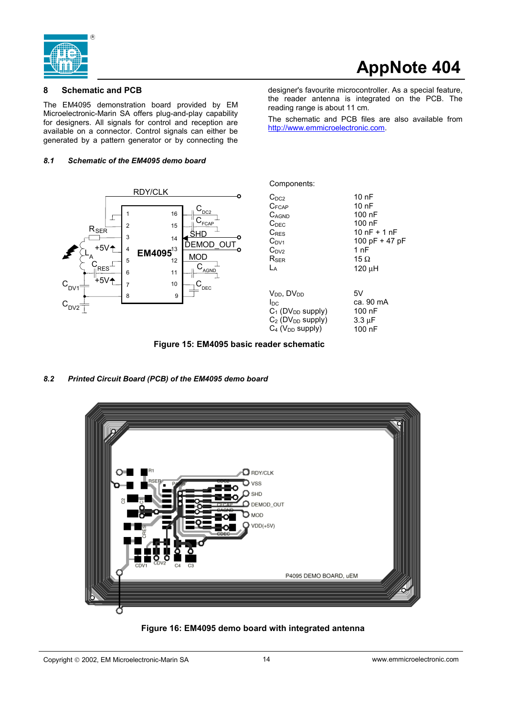<span id="page-13-0"></span>

designer's favourite microcontroller. As a special feature, the reader antenna is integrated on the PCB. The

The schematic and PCB files are also available from

## **8 Schematic and PCB**

The EM4095 demonstration board provided by EM Microelectronic-Marin SA offers plug-and-play capability for designers. All signals for control and reception are available on a connector. Control signals can either be generated by a pattern generator or by connecting the

### *8.1 Schematic of the EM4095 demo board*



| Components:                     |                  |
|---------------------------------|------------------|
| $C_{DC2}$                       | 10 nF            |
| $C_{FCAP}$                      | 10 nF            |
| $C_{AGND}$                      | 100 nF           |
| C <sub>DEC</sub>                | 100 nF           |
| $C_{RFS}$                       | 10 $nF + 1 nF$   |
| $C_{DY1}$                       | 100 pF $+$ 47 pF |
| $C_{DV2}$                       | 1 nF             |
| $R_{\rm SFR}$                   | 15 $\Omega$      |
| Lд                              | 120 µH           |
| $V_{DD}$ , D $V_{DD}$           | 5V               |
| Inc                             | ca. 90 mA        |
| $C_1$ (DV <sub>DD</sub> supply) | 100 nF           |
| $C_2$ (DV <sub>DD</sub> supply) | 3.3 µF           |
| $C_4$ ( $V_{DD}$ supply)        | 100 nF           |

reading range is about 11 cm.

http://www.emmicroelectronic.com.

**Figure 15: EM4095 basic reader schematic**

## *8.2 Printed Circuit Board (PCB) of the EM4095 demo board*